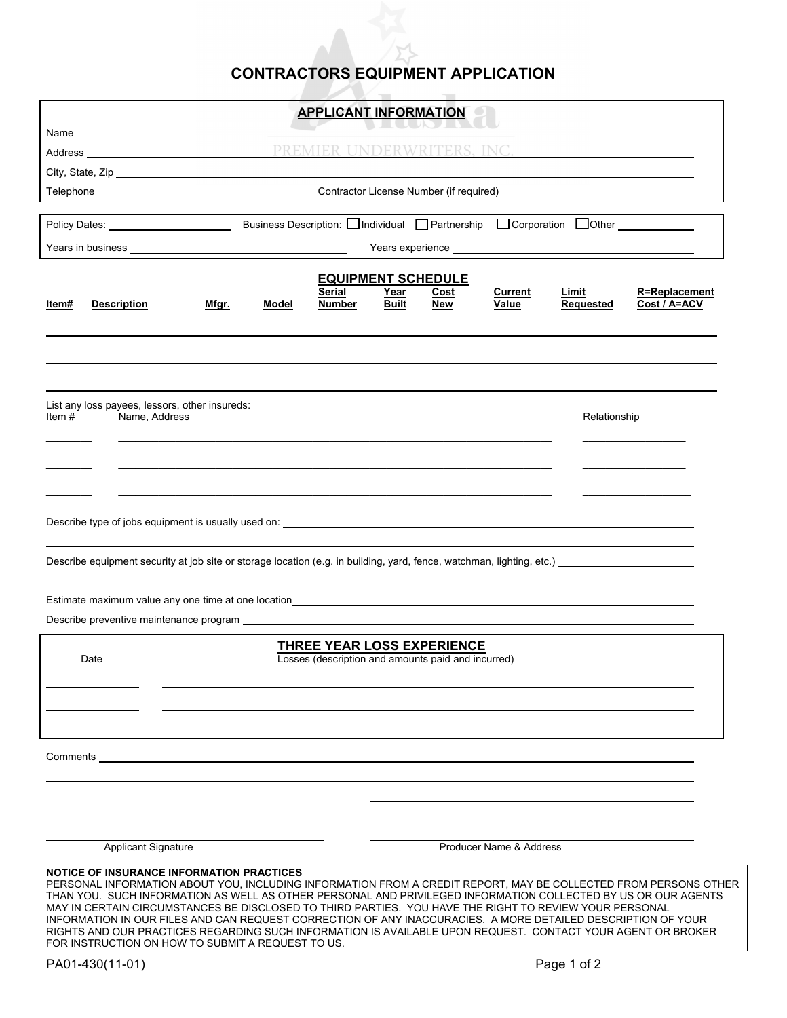## **CONTRACTORS EQUIPMENT APPLICATION**

| <b>APPLICANT INFORMATION</b>                                                                                                                                                                                                                                                                                                                                                                                                                                                                                                                                                                                                                                                       |                                                                                                            |  |       |       |        |              |                                                    |       |                      |              |  |
|------------------------------------------------------------------------------------------------------------------------------------------------------------------------------------------------------------------------------------------------------------------------------------------------------------------------------------------------------------------------------------------------------------------------------------------------------------------------------------------------------------------------------------------------------------------------------------------------------------------------------------------------------------------------------------|------------------------------------------------------------------------------------------------------------|--|-------|-------|--------|--------------|----------------------------------------------------|-------|----------------------|--------------|--|
| Name and the state of the state of the state of the state of the state of the state of the state of the state of the state of the state of the state of the state of the state of the state of the state of the state of the s                                                                                                                                                                                                                                                                                                                                                                                                                                                     |                                                                                                            |  |       |       |        |              |                                                    |       |                      |              |  |
| INC. <u>________________</u>                                                                                                                                                                                                                                                                                                                                                                                                                                                                                                                                                                                                                                                       |                                                                                                            |  |       |       |        |              |                                                    |       |                      |              |  |
|                                                                                                                                                                                                                                                                                                                                                                                                                                                                                                                                                                                                                                                                                    |                                                                                                            |  |       |       |        |              |                                                    |       |                      |              |  |
|                                                                                                                                                                                                                                                                                                                                                                                                                                                                                                                                                                                                                                                                                    |                                                                                                            |  |       |       |        |              |                                                    |       |                      |              |  |
|                                                                                                                                                                                                                                                                                                                                                                                                                                                                                                                                                                                                                                                                                    |                                                                                                            |  |       |       |        |              |                                                    |       |                      |              |  |
|                                                                                                                                                                                                                                                                                                                                                                                                                                                                                                                                                                                                                                                                                    |                                                                                                            |  |       |       |        |              |                                                    |       |                      |              |  |
|                                                                                                                                                                                                                                                                                                                                                                                                                                                                                                                                                                                                                                                                                    |                                                                                                            |  |       |       |        |              |                                                    |       |                      |              |  |
|                                                                                                                                                                                                                                                                                                                                                                                                                                                                                                                                                                                                                                                                                    | <b>EQUIPMENT SCHEDULE</b><br><b>Serial</b><br><u>Year</u><br><b>Current</b><br><u>Limit</u><br><u>Cost</u> |  |       |       |        |              |                                                    |       | <b>R=Replacement</b> |              |  |
| ltem#                                                                                                                                                                                                                                                                                                                                                                                                                                                                                                                                                                                                                                                                              | <b>Description</b>                                                                                         |  | Mfgr. | Model | Number | <b>Built</b> | New                                                | Value | Requested            | Cost / A=ACV |  |
|                                                                                                                                                                                                                                                                                                                                                                                                                                                                                                                                                                                                                                                                                    |                                                                                                            |  |       |       |        |              |                                                    |       |                      |              |  |
|                                                                                                                                                                                                                                                                                                                                                                                                                                                                                                                                                                                                                                                                                    |                                                                                                            |  |       |       |        |              |                                                    |       |                      |              |  |
|                                                                                                                                                                                                                                                                                                                                                                                                                                                                                                                                                                                                                                                                                    |                                                                                                            |  |       |       |        |              |                                                    |       |                      |              |  |
|                                                                                                                                                                                                                                                                                                                                                                                                                                                                                                                                                                                                                                                                                    |                                                                                                            |  |       |       |        |              |                                                    |       |                      |              |  |
| List any loss payees, lessors, other insureds:<br>Item $#$<br>Name, Address                                                                                                                                                                                                                                                                                                                                                                                                                                                                                                                                                                                                        |                                                                                                            |  |       |       |        |              |                                                    |       | Relationship         |              |  |
|                                                                                                                                                                                                                                                                                                                                                                                                                                                                                                                                                                                                                                                                                    |                                                                                                            |  |       |       |        |              |                                                    |       |                      |              |  |
|                                                                                                                                                                                                                                                                                                                                                                                                                                                                                                                                                                                                                                                                                    |                                                                                                            |  |       |       |        |              |                                                    |       |                      |              |  |
|                                                                                                                                                                                                                                                                                                                                                                                                                                                                                                                                                                                                                                                                                    |                                                                                                            |  |       |       |        |              |                                                    |       |                      |              |  |
|                                                                                                                                                                                                                                                                                                                                                                                                                                                                                                                                                                                                                                                                                    |                                                                                                            |  |       |       |        |              |                                                    |       |                      |              |  |
|                                                                                                                                                                                                                                                                                                                                                                                                                                                                                                                                                                                                                                                                                    |                                                                                                            |  |       |       |        |              |                                                    |       |                      |              |  |
|                                                                                                                                                                                                                                                                                                                                                                                                                                                                                                                                                                                                                                                                                    |                                                                                                            |  |       |       |        |              |                                                    |       |                      |              |  |
| Describe equipment security at job site or storage location (e.g. in building, yard, fence, watchman, lighting, etc.) _________________                                                                                                                                                                                                                                                                                                                                                                                                                                                                                                                                            |                                                                                                            |  |       |       |        |              |                                                    |       |                      |              |  |
|                                                                                                                                                                                                                                                                                                                                                                                                                                                                                                                                                                                                                                                                                    |                                                                                                            |  |       |       |        |              |                                                    |       |                      |              |  |
| Estimate maximum value any one time at one location                                                                                                                                                                                                                                                                                                                                                                                                                                                                                                                                                                                                                                |                                                                                                            |  |       |       |        |              |                                                    |       |                      |              |  |
|                                                                                                                                                                                                                                                                                                                                                                                                                                                                                                                                                                                                                                                                                    |                                                                                                            |  |       |       |        |              |                                                    |       |                      |              |  |
|                                                                                                                                                                                                                                                                                                                                                                                                                                                                                                                                                                                                                                                                                    |                                                                                                            |  |       |       |        |              | <b>THREE YEAR LOSS EXPERIENCE</b>                  |       |                      |              |  |
|                                                                                                                                                                                                                                                                                                                                                                                                                                                                                                                                                                                                                                                                                    | Date                                                                                                       |  |       |       |        |              | Losses (description and amounts paid and incurred) |       |                      |              |  |
|                                                                                                                                                                                                                                                                                                                                                                                                                                                                                                                                                                                                                                                                                    |                                                                                                            |  |       |       |        |              |                                                    |       |                      |              |  |
|                                                                                                                                                                                                                                                                                                                                                                                                                                                                                                                                                                                                                                                                                    |                                                                                                            |  |       |       |        |              |                                                    |       |                      |              |  |
|                                                                                                                                                                                                                                                                                                                                                                                                                                                                                                                                                                                                                                                                                    |                                                                                                            |  |       |       |        |              |                                                    |       |                      |              |  |
| Comments                                                                                                                                                                                                                                                                                                                                                                                                                                                                                                                                                                                                                                                                           |                                                                                                            |  |       |       |        |              |                                                    |       |                      |              |  |
|                                                                                                                                                                                                                                                                                                                                                                                                                                                                                                                                                                                                                                                                                    |                                                                                                            |  |       |       |        |              |                                                    |       |                      |              |  |
|                                                                                                                                                                                                                                                                                                                                                                                                                                                                                                                                                                                                                                                                                    |                                                                                                            |  |       |       |        |              |                                                    |       |                      |              |  |
|                                                                                                                                                                                                                                                                                                                                                                                                                                                                                                                                                                                                                                                                                    |                                                                                                            |  |       |       |        |              |                                                    |       |                      |              |  |
|                                                                                                                                                                                                                                                                                                                                                                                                                                                                                                                                                                                                                                                                                    |                                                                                                            |  |       |       |        |              |                                                    |       |                      |              |  |
|                                                                                                                                                                                                                                                                                                                                                                                                                                                                                                                                                                                                                                                                                    | Applicant Signature<br>Producer Name & Address                                                             |  |       |       |        |              |                                                    |       |                      |              |  |
| <b>NOTICE OF INSURANCE INFORMATION PRACTICES</b><br>PERSONAL INFORMATION ABOUT YOU, INCLUDING INFORMATION FROM A CREDIT REPORT, MAY BE COLLECTED FROM PERSONS OTHER<br>THAN YOU. SUCH INFORMATION AS WELL AS OTHER PERSONAL AND PRIVILEGED INFORMATION COLLECTED BY US OR OUR AGENTS<br>MAY IN CERTAIN CIRCUMSTANCES BE DISCLOSED TO THIRD PARTIES. YOU HAVE THE RIGHT TO REVIEW YOUR PERSONAL<br>INFORMATION IN OUR FILES AND CAN REQUEST CORRECTION OF ANY INACCURACIES. A MORE DETAILED DESCRIPTION OF YOUR<br>RIGHTS AND OUR PRACTICES REGARDING SUCH INFORMATION IS AVAILABLE UPON REQUEST. CONTACT YOUR AGENT OR BROKER<br>FOR INSTRUCTION ON HOW TO SUBMIT A REQUEST TO US. |                                                                                                            |  |       |       |        |              |                                                    |       |                      |              |  |
| PA01-430(11-01)                                                                                                                                                                                                                                                                                                                                                                                                                                                                                                                                                                                                                                                                    |                                                                                                            |  |       |       |        | Page 1 of 2  |                                                    |       |                      |              |  |